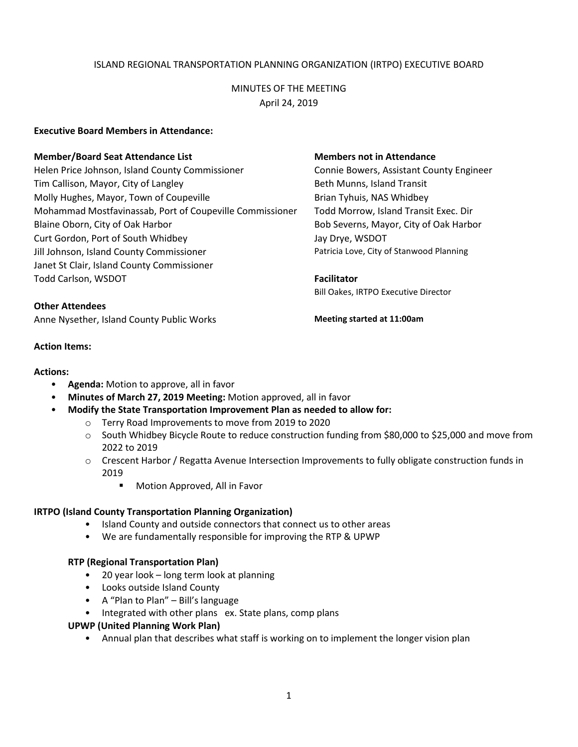# ISLAND REGIONAL TRANSPORTATION PLANNING ORGANIZATION (IRTPO) EXECUTIVE BOARD

# MINUTES OF THE MEETING April 24, 2019

## **Executive Board Members in Attendance:**

### **Member/Board Seat Attendance List Members not in Attendance**

Helen Price Johnson, Island County Commissioner Connie Bowers, Assistant County Engineer Tim Callison, Mayor, City of Langley The South Communist Beth Munns, Island Transit Molly Hughes, Mayor, Town of Coupeville **Brian Tyhuis, NAS Whidbey** Mohammad Mostfavinassab, Port of Coupeville Commissioner Todd Morrow, Island Transit Exec. Dir Blaine Oborn, City of Oak Harbor Bob Severns, Mayor, City of Oak Harbor Curt Gordon, Port of South Whidbey Jay Drye, WSDOT Jill Johnson, Island County Commissioner **Patricia Love, City of Stanwood Planning** Patricia Love, City of Stanwood Planning Janet St Clair, Island County Commissioner Todd Carlson, WSDOT **Facilitator**

### **Other Attendees**

Anne Nysether, Island County Public Works **Meeting started at 11:00am**

### **Action Items:**

### **Actions:**

- **Agenda:** Motion to approve, all in favor
- **Minutes of March 27, 2019 Meeting:** Motion approved, all in favor
- **Modify the State Transportation Improvement Plan as needed to allow for:**
	- o Terry Road Improvements to move from 2019 to 2020
	- o South Whidbey Bicycle Route to reduce construction funding from \$80,000 to \$25,000 and move from 2022 to 2019
	- o Crescent Harbor / Regatta Avenue Intersection Improvements to fully obligate construction funds in 2019
		- **Motion Approved, All in Favor**

# **IRTPO (Island County Transportation Planning Organization)**

- Island County and outside connectors that connect us to other areas
- We are fundamentally responsible for improving the RTP & UPWP

### **RTP (Regional Transportation Plan)**

- 20 year look long term look at planning
- Looks outside Island County
- A "Plan to Plan" Bill's language
- Integrated with other plans ex. State plans, comp plans

### **UPWP (United Planning Work Plan)**

• Annual plan that describes what staff is working on to implement the longer vision plan

Bill Oakes, IRTPO Executive Director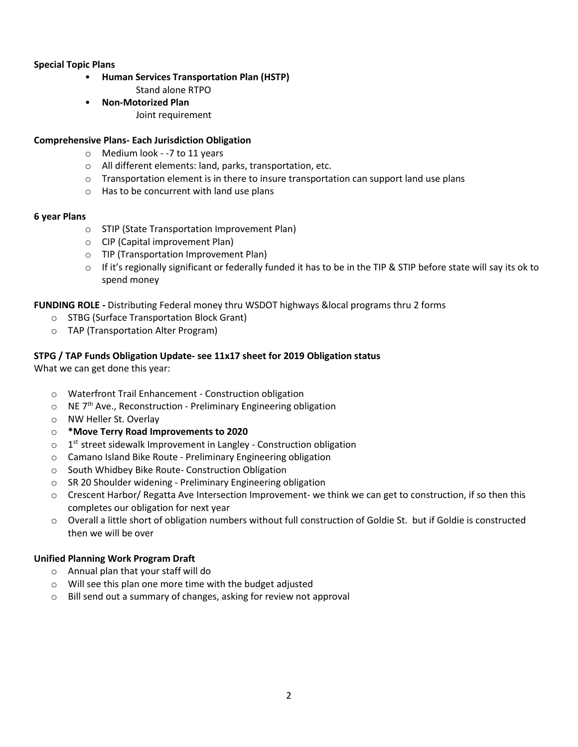# **Special Topic Plans**

- **Human Services Transportation Plan (HSTP)**
	- Stand alone RTPO
- **Non-Motorized Plan** Joint requirement

## **Comprehensive Plans- Each Jurisdiction Obligation**

- o Medium look -7 to 11 years
- o All different elements: land, parks, transportation, etc.
- $\circ$  Transportation element is in there to insure transportation can support land use plans
- o Has to be concurrent with land use plans

### **6 year Plans**

- o STIP (State Transportation Improvement Plan)
- o CIP (Capital improvement Plan)
- o TIP (Transportation Improvement Plan)
- $\circ$  If it's regionally significant or federally funded it has to be in the TIP & STIP before state will say its ok to spend money

# **FUNDING ROLE -** Distributing Federal money thru WSDOT highways &local programs thru 2 forms

- o STBG (Surface Transportation Block Grant)
- o TAP (Transportation Alter Program)

# **STPG / TAP Funds Obligation Update- see 11x17 sheet for 2019 Obligation status**

What we can get done this year:

- o Waterfront Trail Enhancement Construction obligation
- $\circ$  NE 7<sup>th</sup> Ave., Reconstruction Preliminary Engineering obligation
- o NW Heller St. Overlay
- o **\*Move Terry Road Improvements to 2020**
- $\circ$  1<sup>st</sup> street sidewalk Improvement in Langley Construction obligation
- o Camano Island Bike Route Preliminary Engineering obligation
- o South Whidbey Bike Route- Construction Obligation
- o SR 20 Shoulder widening Preliminary Engineering obligation
- o Crescent Harbor/ Regatta Ave Intersection Improvement- we think we can get to construction, if so then this completes our obligation for next year
- o Overall a little short of obligation numbers without full construction of Goldie St. but if Goldie is constructed then we will be over

# **Unified Planning Work Program Draft**

- o Annual plan that your staff will do
- o Will see this plan one more time with the budget adjusted
- o Bill send out a summary of changes, asking for review not approval